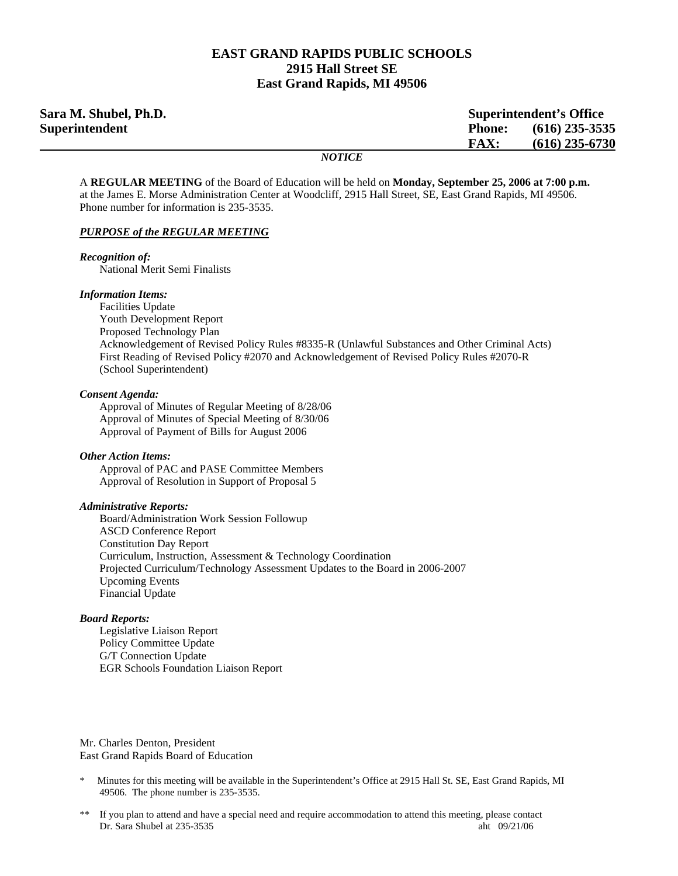### **EAST GRAND RAPIDS PUBLIC SCHOOLS 2915 Hall Street SE East Grand Rapids, MI 49506**

| Sara M. Shubel, Ph.D. | <b>Superintendent's Office</b>    |
|-----------------------|-----------------------------------|
| Superintendent        | $(616)$ 235-3535<br><b>Phone:</b> |
|                       | $(616)$ 235-6730<br><b>FAX:</b>   |
|                       | <b>NOTICE</b>                     |

A **REGULAR MEETING** of the Board of Education will be held on **Monday, September 25, 2006 at 7:00 p.m.**  at the James E. Morse Administration Center at Woodcliff, 2915 Hall Street, SE, East Grand Rapids, MI 49506. Phone number for information is 235-3535.

### *PURPOSE of the REGULAR MEETING*

### *Recognition of:*

National Merit Semi Finalists

#### *Information Items:*

 Facilities Update Youth Development Report Proposed Technology Plan Acknowledgement of Revised Policy Rules #8335-R (Unlawful Substances and Other Criminal Acts) First Reading of Revised Policy #2070 and Acknowledgement of Revised Policy Rules #2070-R (School Superintendent)

#### *Consent Agenda:*

 Approval of Minutes of Regular Meeting of 8/28/06 Approval of Minutes of Special Meeting of 8/30/06 Approval of Payment of Bills for August 2006

#### *Other Action Items:*

 Approval of PAC and PASE Committee Members Approval of Resolution in Support of Proposal 5

#### *Administrative Reports:*

Board/Administration Work Session Followup ASCD Conference Report Constitution Day Report Curriculum, Instruction, Assessment & Technology Coordination Projected Curriculum/Technology Assessment Updates to the Board in 2006-2007 Upcoming Events Financial Update

#### *Board Reports:*

Legislative Liaison Report Policy Committee Update G/T Connection Update EGR Schools Foundation Liaison Report

Mr. Charles Denton, President East Grand Rapids Board of Education

- Minutes for this meeting will be available in the Superintendent's Office at 2915 Hall St. SE, East Grand Rapids, MI 49506. The phone number is 235-3535.
- \*\* If you plan to attend and have a special need and require accommodation to attend this meeting, please contact Dr. Sara Shubel at 235-3535 aht 09/21/06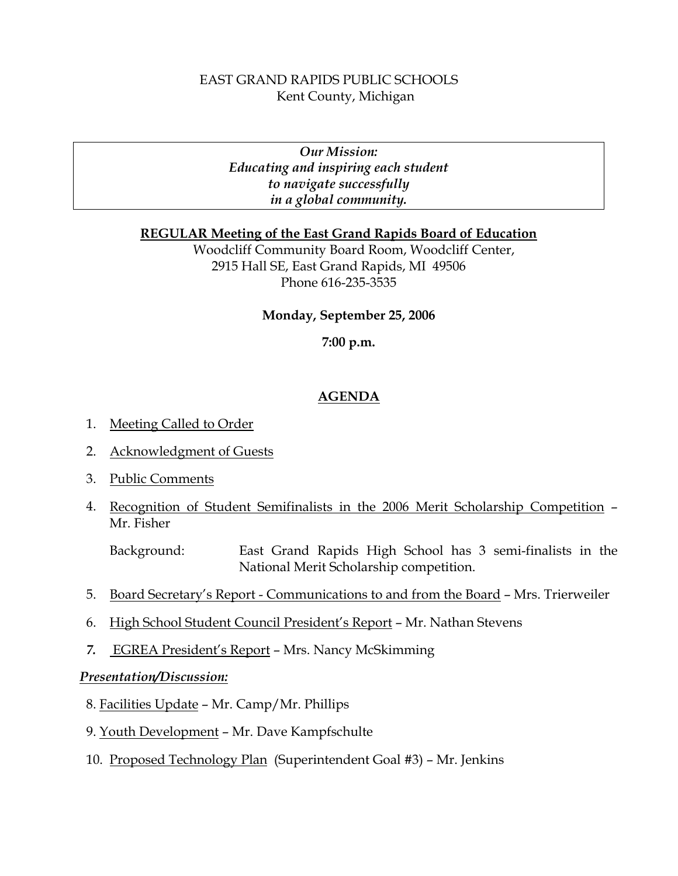# EAST GRAND RAPIDS PUBLIC SCHOOLS Kent County, Michigan

*Our Mission: Educating and inspiring each student to navigate successfully in a global community.* 

## **REGULAR Meeting of the East Grand Rapids Board of Education**

Woodcliff Community Board Room, Woodcliff Center, 2915 Hall SE, East Grand Rapids, MI 49506 Phone 616-235-3535

### **Monday, September 25, 2006**

### **7:00 p.m.**

## **AGENDA**

- 1. Meeting Called to Order
- 2. Acknowledgment of Guests
- 3. Public Comments
- 4. Recognition of Student Semifinalists in the 2006 Merit Scholarship Competition Mr. Fisher

Background: East Grand Rapids High School has 3 semi-finalists in the National Merit Scholarship competition.

- 5. Board Secretary's Report Communications to and from the Board Mrs. Trierweiler
- 6. High School Student Council President's Report Mr. Nathan Stevens
- *7.* EGREA President's Report Mrs. Nancy McSkimming

### *Presentation/Discussion:*

- 8. Facilities Update Mr. Camp/Mr. Phillips
- 9. Youth Development Mr. Dave Kampfschulte
- 10. Proposed Technology Plan (Superintendent Goal #3) Mr. Jenkins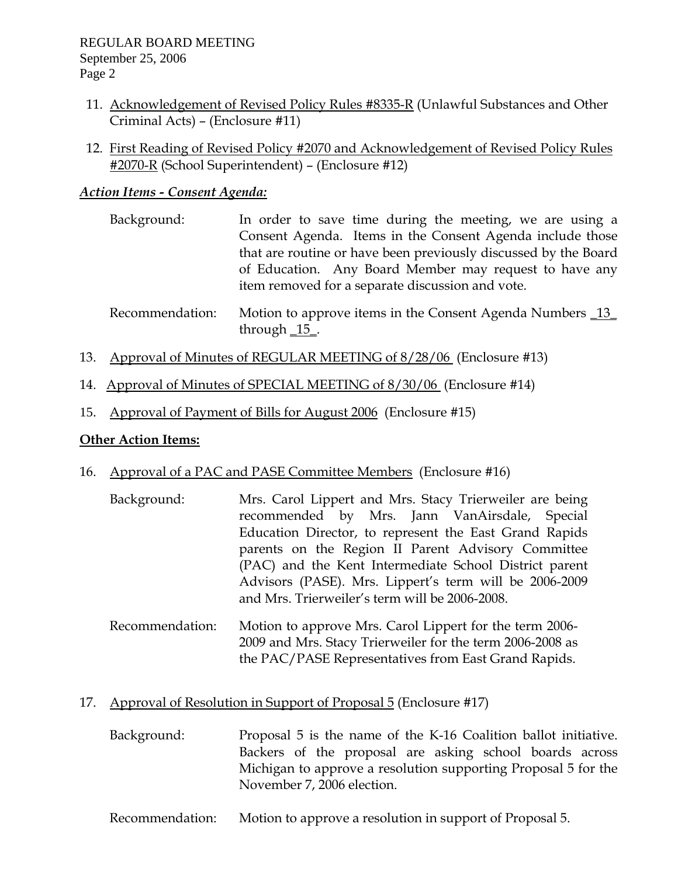- 11. Acknowledgement of Revised Policy Rules #8335-R (Unlawful Substances and Other Criminal Acts) – (Enclosure #11)
- 12. First Reading of Revised Policy #2070 and Acknowledgement of Revised Policy Rules #2070-R (School Superintendent) – (Enclosure #12)

## *Action Items - Consent Agenda:*

- Background: In order to save time during the meeting, we are using a Consent Agenda. Items in the Consent Agenda include those that are routine or have been previously discussed by the Board of Education. Any Board Member may request to have any item removed for a separate discussion and vote.
- Recommendation: Motion to approve items in the Consent Agenda Numbers \_13\_ through  $\frac{15}{15}$ .
- 13. Approval of Minutes of REGULAR MEETING of 8/28/06 (Enclosure #13)
- 14. Approval of Minutes of SPECIAL MEETING of 8/30/06 (Enclosure #14)
- 15. Approval of Payment of Bills for August 2006 (Enclosure #15)

## **Other Action Items:**

- 16. Approval of a PAC and PASE Committee Members (Enclosure #16)
	- Background: Mrs. Carol Lippert and Mrs. Stacy Trierweiler are being recommended by Mrs. Jann VanAirsdale, Special Education Director, to represent the East Grand Rapids parents on the Region II Parent Advisory Committee (PAC) and the Kent Intermediate School District parent Advisors (PASE). Mrs. Lippert's term will be 2006-2009 and Mrs. Trierweiler's term will be 2006-2008.
	- Recommendation: Motion to approve Mrs. Carol Lippert for the term 2006- 2009 and Mrs. Stacy Trierweiler for the term 2006-2008 as the PAC/PASE Representatives from East Grand Rapids.

## 17. Approval of Resolution in Support of Proposal 5 (Enclosure #17)

- Background: Proposal 5 is the name of the K-16 Coalition ballot initiative. Backers of the proposal are asking school boards across Michigan to approve a resolution supporting Proposal 5 for the November 7, 2006 election.
- Recommendation: Motion to approve a resolution in support of Proposal 5.